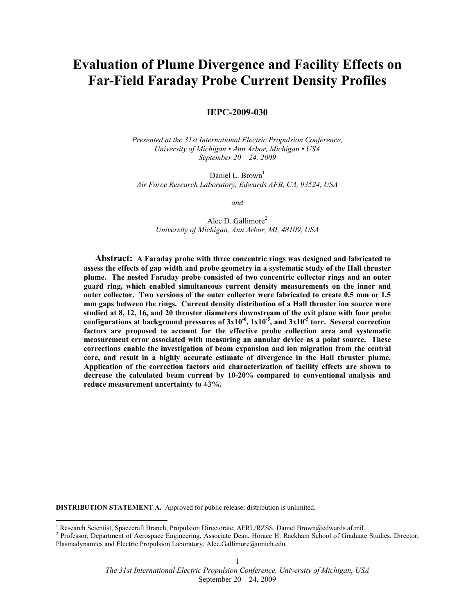# **Evaluation of Plume Divergence and Facility Effects on Far-Field Faraday Probe Current Density Profiles**

# **IEPC-2009-030**

*Presented at the 31st International Electric Propulsion Conference, University of Michigan • Ann Arbor, Michigan • USA September 20 – 24, 2009* 

Daniel L. Brown<sup>1</sup> *Air Force Research Laboratory, Edwards AFB, CA, 93524, USA* 

*and* 

Alec D. Gallimore<sup>2</sup> *University of Michigan, Ann Arbor, MI, 48109, USA* 

**Abstract: A Faraday probe with three concentric rings was designed and fabricated to assess the effects of gap width and probe geometry in a systematic study of the Hall thruster plume. The nested Faraday probe consisted of two concentric collector rings and an outer guard ring, which enabled simultaneous current density measurements on the inner and outer collector. Two versions of the outer collector were fabricated to create 0.5 mm or 1.5 mm gaps between the rings. Current density distribution of a Hall thruster ion source were studied at 8, 12, 16, and 20 thruster diameters downstream of the exit plane with four probe configurations at background pressures of 3x10-6, 1x10-5, and 3x10-5 torr. Several correction factors are proposed to account for the effective probe collection area and systematic measurement error associated with measuring an annular device as a point source. These corrections enable the investigation of beam expansion and ion migration from the central core, and result in a highly accurate estimate of divergence in the Hall thruster plume. Application of the correction factors and characterization of facility effects are shown to decrease the calculated beam current by 10-20% compared to conventional analysis and reduce measurement uncertainty to ±3%.** 

**DISTRIBUTION STATEMENT A.** Approved for public release; distribution is unlimited.

<sup>&</sup>lt;sup>1</sup> Research Scientist, Spacecraft Branch, Propulsion Directorate, AFRL/RZSS, Daniel.Brown@edwards.af.mil.<br><sup>2</sup> Professor, Department of Acroanese Engineering, Associate Deep, Hornes H. Beekham School of Greduate

<sup>&</sup>lt;sup>2</sup> Professor, Department of Aerospace Engineering, Associate Dean, Horace H. Rackham School of Graduate Studies, Director, Plasmadynamics and Electric Propulsion Laboratory, Alec.Gallimore@umich.edu.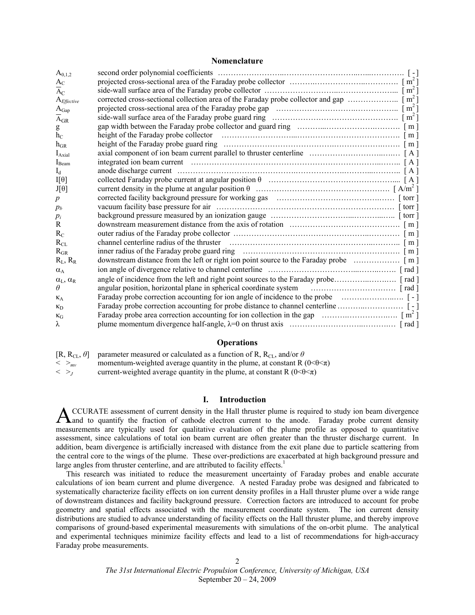## **Nomenclature**

| $A_{0,1,2}$          |                                                                                                                                            |  |
|----------------------|--------------------------------------------------------------------------------------------------------------------------------------------|--|
| $A_C$                | projected cross-sectional area of the Faraday probe collector $\ldots \ldots \ldots \ldots \ldots \ldots \ldots \ldots \ldots \cdot [m^2]$ |  |
| $A_{C}$              | side-wall surface area of the Faraday probe collector $\dots\dots\dots\dots\dots\dots\dots\dots\dots\dots\dots\dots\dots\dots\dots$        |  |
| $A$ <i>Effective</i> |                                                                                                                                            |  |
| $A_{Gap}$            |                                                                                                                                            |  |
| $A_{GR}$             |                                                                                                                                            |  |
| g                    |                                                                                                                                            |  |
| $h_{C}$              |                                                                                                                                            |  |
| $h_{GR}$             |                                                                                                                                            |  |
| $I_{\text{Axial}}$   |                                                                                                                                            |  |
| $I_{\text{Beam}}$    |                                                                                                                                            |  |
| $I_d$                |                                                                                                                                            |  |
| $I[\theta]$          |                                                                                                                                            |  |
| $J[\theta]$          |                                                                                                                                            |  |
| $\boldsymbol{p}$     |                                                                                                                                            |  |
| p <sub>b</sub>       |                                                                                                                                            |  |
| $p_i$                |                                                                                                                                            |  |
| R                    |                                                                                                                                            |  |
| $R_C$                |                                                                                                                                            |  |
| $R_{CL}$             |                                                                                                                                            |  |
| $R_{GR}$             |                                                                                                                                            |  |
| $R_L$ , $R_R$        |                                                                                                                                            |  |
| $\alpha_A$           |                                                                                                                                            |  |
| $\alpha_L, \alpha_R$ |                                                                                                                                            |  |
| $\theta$             |                                                                                                                                            |  |
| $K_A$                | [-] Faraday probe correction accounting for ion angle of incidence to the probe [10] [10]                                                  |  |
| $K_D$                |                                                                                                                                            |  |
| $K_G$                |                                                                                                                                            |  |
| λ                    |                                                                                                                                            |  |

# **Operations**

| $[R, R_{CL}, \theta]$          | parameter measured or calculated as a function of R, $R_{CI}$ , and/or $\theta$   |
|--------------------------------|-----------------------------------------------------------------------------------|
| $\langle \rangle$ $>_{\rm mv}$ | momentum-weighted average quantity in the plume, at constant R ( $0<\theta<\pi$ ) |
| $\langle \rangle$              | current-weighted average quantity in the plume, at constant R $(0<\theta<\pi)$    |

# **I. Introduction**

CCURATE assessment of current density in the Hall thruster plume is required to study ion beam divergence ACCURATE assessment of current density in the Hall thruster plume is required to study ion beam divergence and to quantify the fraction of cathode electron current to the anode. Faraday probe current density measurements are typically used for qualitative evaluation of the plume profile as opposed to quantitative assessment, since calculations of total ion beam current are often greater than the thruster discharge current. In addition, beam divergence is artificially increased with distance from the exit plane due to particle scattering from the central core to the wings of the plume. These over-predictions are exacerbated at high background pressure and large angles from thruster centerline, and are attributed to facility effects.<sup>1</sup>

This research was initiated to reduce the measurement uncertainty of Faraday probes and enable accurate calculations of ion beam current and plume divergence. A nested Faraday probe was designed and fabricated to systematically characterize facility effects on ion current density profiles in a Hall thruster plume over a wide range of downstream distances and facility background pressure. Correction factors are introduced to account for probe geometry and spatial effects associated with the measurement coordinate system. The ion current density distributions are studied to advance understanding of facility effects on the Hall thruster plume, and thereby improve comparisons of ground-based experimental measurements with simulations of the on-orbit plume. The analytical and experimental techniques minimize facility effects and lead to a list of recommendations for high-accuracy Faraday probe measurements.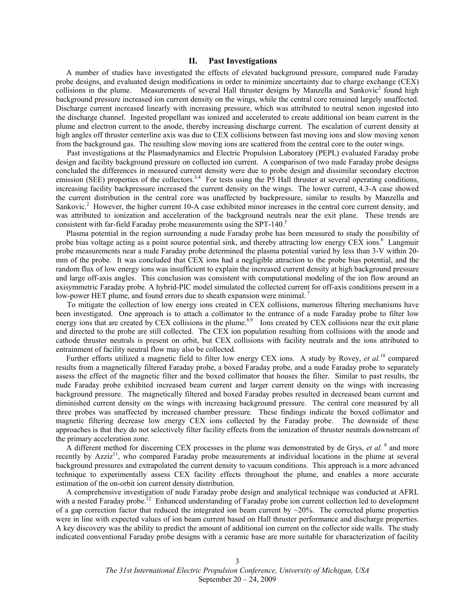#### **II. Past Investigations**

A number of studies have investigated the effects of elevated background pressure, compared nude Faraday probe designs, and evaluated design modifications in order to minimize uncertainty due to charge exchange (CEX) collisions in the plume. Measurements of several Hall thruster designs by Manzella and Sankovic<sup>2</sup> found high background pressure increased ion current density on the wings, while the central core remained largely unaffected. Discharge current increased linearly with increasing pressure, which was attributed to neutral xenon ingested into the discharge channel. Ingested propellant was ionized and accelerated to create additional ion beam current in the plume and electron current to the anode, thereby increasing discharge current. The escalation of current density at high angles off thruster centerline axis was due to CEX collisions between fast moving ions and slow moving xenon from the background gas. The resulting slow moving ions are scattered from the central core to the outer wings.

 Past investigations at the Plasmadynamics and Electric Propulsion Laboratory (PEPL) evaluated Faraday probe design and facility background pressure on collected ion current. A comparison of two nude Faraday probe designs concluded the differences in measured current density were due to probe design and dissimilar secondary electron emission (SEE) properties of the collectors.<sup>3,4</sup> For tests using the  $\overline{P5}$  Hall thruster at several operating conditions, increasing facility backpressure increased the current density on the wings. The lower current, 4.3-A case showed the current distribution in the central core was unaffected by backpressure, similar to results by Manzella and Sankovic.<sup>2</sup> However, the higher current 10-A case exhibited minor increases in the central core current density, and was attributed to ionization and acceleration of the background neutrals near the exit plane. These trends are consistent with far-field Faraday probe measurements using the SPT-140.<sup>5</sup>

Plasma potential in the region surrounding a nude Faraday probe has been measured to study the possibility of probe bias voltage acting as a point source potential sink, and thereby attracting low energy CEX ions.<sup>6</sup> Langmuir probe measurements near a nude Faraday probe determined the plasma potential varied by less than 3-V within 20 mm of the probe. It was concluded that CEX ions had a negligible attraction to the probe bias potential, and the random flux of low energy ions was insufficient to explain the increased current density at high background pressure and large off-axis angles. This conclusion was consistent with computational modeling of the ion flow around an axisymmetric Faraday probe. A hybrid-PIC model simulated the collected current for off-axis conditions present in a low-power HET plume, and found errors due to sheath expansion were minimal.<sup>7</sup>

 To mitigate the collection of low energy ions created in CEX collisions, numerous filtering mechanisms have been investigated. One approach is to attach a collimator to the entrance of a nude Faraday probe to filter low energy ions that are created by CEX collisions in the plume.<sup>8,9</sup> Ions created by CEX collisions near the exit plane and directed to the probe are still collected. The CEX ion population resulting from collisions with the anode and cathode thruster neutrals is present on orbit, but CEX collisions with facility neutrals and the ions attributed to entrainment of facility neutral flow may also be collected.

Further efforts utilized a magnetic field to filter low energy CEX ions. A study by Rovey, *et al.*10 compared results from a magnetically filtered Faraday probe, a boxed Faraday probe, and a nude Faraday probe to separately assess the effect of the magnetic filter and the boxed collimator that houses the filter. Similar to past results, the nude Faraday probe exhibited increased beam current and larger current density on the wings with increasing background pressure. The magnetically filtered and boxed Faraday probes resulted in decreased beam current and diminished current density on the wings with increasing background pressure. The central core measured by all three probes was unaffected by increased chamber pressure. These findings indicate the boxed collimator and magnetic filtering decrease low energy CEX ions collected by the Faraday probe. The downside of these approaches is that they do not selectively filter facility effects from the ionization of thruster neutrals downstream of the primary acceleration zone.

A different method for discerning CEX processes in the plume was demonstrated by de Grys, *et al.*<sup>8</sup> and more recently by  $Azziz<sup>11</sup>$ , who compared Faraday probe measurements at individual locations in the plume at several background pressures and extrapolated the current density to vacuum conditions. This approach is a more advanced technique to experimentally assess CEX facility effects throughout the plume, and enables a more accurate estimation of the on-orbit ion current density distribution.

A comprehensive investigation of nude Faraday probe design and analytical technique was conducted at AFRL with a nested Faraday probe.<sup>12</sup> Enhanced understanding of Faraday probe ion current collection led to development of a gap correction factor that reduced the integrated ion beam current by  $\sim$ 20%. The corrected plume properties were in line with expected values of ion beam current based on Hall thruster performance and discharge properties. A key discovery was the ability to predict the amount of additional ion current on the collector side walls. The study indicated conventional Faraday probe designs with a ceramic base are more suitable for characterization of facility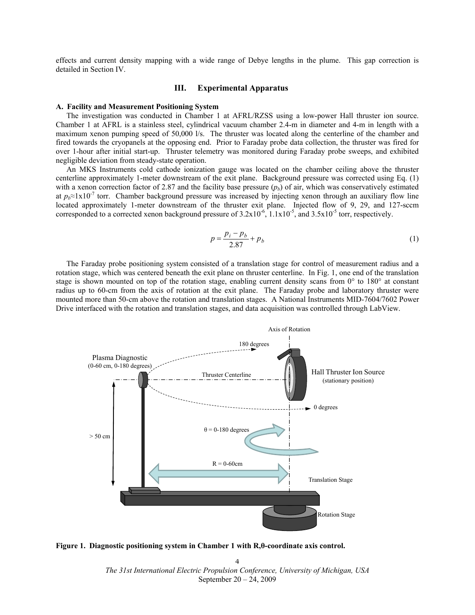effects and current density mapping with a wide range of Debye lengths in the plume. This gap correction is detailed in Section IV.

#### **III. Experimental Apparatus**

## **A. Facility and Measurement Positioning System**

The investigation was conducted in Chamber 1 at AFRL/RZSS using a low-power Hall thruster ion source. Chamber 1 at AFRL is a stainless steel, cylindrical vacuum chamber 2.4-m in diameter and 4-m in length with a maximum xenon pumping speed of 50,000 l/s. The thruster was located along the centerline of the chamber and fired towards the cryopanels at the opposing end. Prior to Faraday probe data collection, the thruster was fired for over 1-hour after initial start-up. Thruster telemetry was monitored during Faraday probe sweeps, and exhibited negligible deviation from steady-state operation.

An MKS Instruments cold cathode ionization gauge was located on the chamber ceiling above the thruster centerline approximately 1-meter downstream of the exit plane. Background pressure was corrected using Eq. (1) with a xenon correction factor of 2.87 and the facility base pressure  $(p<sub>b</sub>)$  of air, which was conservatively estimated at  $p_b \approx 1 \times 10^{-7}$  torr. Chamber background pressure was increased by injecting xenon through an auxiliary flow line located approximately 1-meter downstream of the thruster exit plane. Injected flow of 9, 29, and 127-sccm corresponded to a corrected xenon background pressure of  $3.2x10^{-6}$ ,  $1.1x10^{-5}$ , and  $3.5x10^{-5}$  torr, respectively.

$$
p = \frac{p_i - p_b}{2.87} + p_b \tag{1}
$$

The Faraday probe positioning system consisted of a translation stage for control of measurement radius and a rotation stage, which was centered beneath the exit plane on thruster centerline. In Fig. 1, one end of the translation stage is shown mounted on top of the rotation stage, enabling current density scans from 0° to 180° at constant radius up to 60-cm from the axis of rotation at the exit plane. The Faraday probe and laboratory thruster were mounted more than 50-cm above the rotation and translation stages. A National Instruments MID-7604/7602 Power Drive interfaced with the rotation and translation stages, and data acquisition was controlled through LabView.



**Figure 1. Diagnostic positioning system in Chamber 1 with R,θ-coordinate axis control.**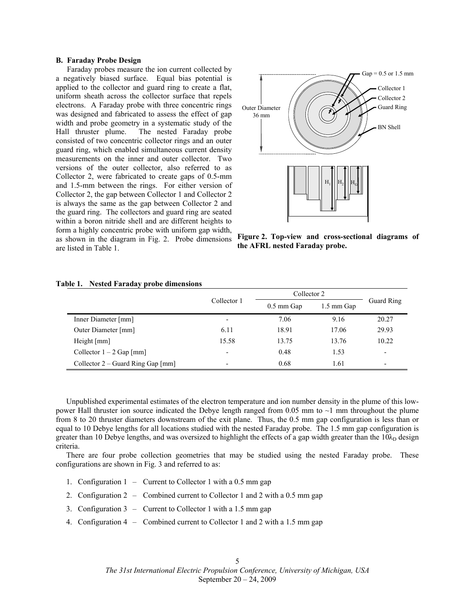#### **B. Faraday Probe Design**

 Faraday probes measure the ion current collected by a negatively biased surface. Equal bias potential is applied to the collector and guard ring to create a flat, uniform sheath across the collector surface that repels electrons. A Faraday probe with three concentric rings was designed and fabricated to assess the effect of gap width and probe geometry in a systematic study of the Hall thruster plume. The nested Faraday probe consisted of two concentric collector rings and an outer guard ring, which enabled simultaneous current density measurements on the inner and outer collector. Two versions of the outer collector, also referred to as Collector 2, were fabricated to create gaps of 0.5-mm and 1.5-mm between the rings. For either version of Collector 2, the gap between Collector 1 and Collector 2 is always the same as the gap between Collector 2 and the guard ring. The collectors and guard ring are seated within a boron nitride shell and are different heights to form a highly concentric probe with uniform gap width, as shown in the diagram in Fig. 2. Probe dimensions are listed in Table 1.



**Figure 2. Top-view and cross-sectional diagrams of the AFRL nested Faraday probe.** 

|                                     |                          | Collector 2          |            |                          |
|-------------------------------------|--------------------------|----------------------|------------|--------------------------|
|                                     | Collector 1              | $0.5 \text{ mm}$ Gap | 1.5 mm Gap | <b>Guard Ring</b>        |
| Inner Diameter [mm]                 | $\overline{\phantom{0}}$ | 7.06                 | 9.16       | 20.27                    |
| Outer Diameter [mm]                 | 6.11                     | 18.91                | 17.06      | 29.93                    |
| Height $[mm]$                       | 15.58                    | 13.75                | 13.76      | 10.22                    |
| Collector $1 - 2$ Gap [mm]          | $\overline{\phantom{0}}$ | 0.48                 | 1.53       | $\overline{\phantom{a}}$ |
| Collector $2 -$ Guard Ring Gap [mm] | $\overline{\phantom{0}}$ | 0.68                 | 1.61       | $\overline{\phantom{a}}$ |

#### **Table 1. Nested Faraday probe dimensions**

Unpublished experimental estimates of the electron temperature and ion number density in the plume of this lowpower Hall thruster ion source indicated the Debye length ranged from 0.05 mm to  $\sim$ 1 mm throughout the plume from 8 to 20 thruster diameters downstream of the exit plane. Thus, the 0.5 mm gap configuration is less than or equal to 10 Debye lengths for all locations studied with the nested Faraday probe. The 1.5 mm gap configuration is greater than 10 Debye lengths, and was oversized to highlight the effects of a gap width greater than the  $10\lambda_D$  design criteria.

There are four probe collection geometries that may be studied using the nested Faraday probe. These configurations are shown in Fig. 3 and referred to as:

- 1. Configuration 1 Current to Collector 1 with a 0.5 mm gap
- 2. Configuration 2 Combined current to Collector 1 and 2 with a 0.5 mm gap
- 3. Configuration 3 Current to Collector 1 with a 1.5 mm gap
- 4. Configuration 4 Combined current to Collector 1 and 2 with a 1.5 mm gap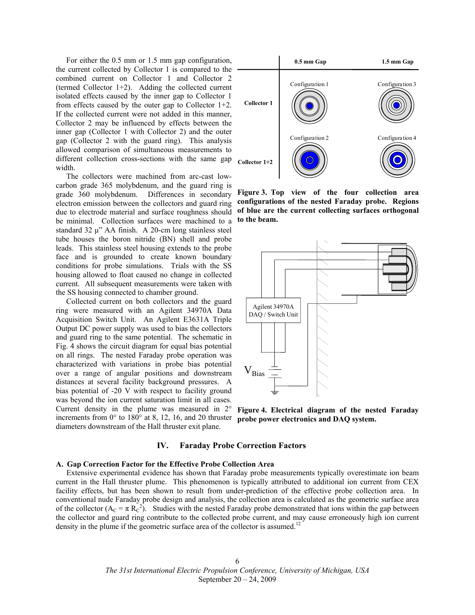For either the 0.5 mm or 1.5 mm gap configuration, the current collected by Collector 1 is compared to the combined current on Collector 1 and Collector 2 (termed Collector 1+2). Adding the collected current isolated effects caused by the inner gap to Collector 1 from effects caused by the outer gap to Collector 1+2. If the collected current were not added in this manner, Collector 2 may be influenced by effects between the inner gap (Collector 1 with Collector 2) and the outer gap (Collector 2 with the guard ring). This analysis allowed comparison of simultaneous measurements to different collection cross-sections with the same gap width.

The collectors were machined from arc-cast lowcarbon grade 365 molybdenum, and the guard ring is grade 360 molybdenum. Differences in secondary electron emission between the collectors and guard ring due to electrode material and surface roughness should be minimal. Collection surfaces were machined to a standard 32  $\mu$ " AA finish. A 20-cm long stainless steel tube houses the boron nitride (BN) shell and probe leads. This stainless steel housing extends to the probe face and is grounded to create known boundary conditions for probe simulations. Trials with the SS housing allowed to float caused no change in collected current. All subsequent measurements were taken with the SS housing connected to chamber ground.

Collected current on both collectors and the guard ring were measured with an Agilent 34970A Data Acquisition Switch Unit. An Agilent E3631A Triple Output DC power supply was used to bias the collectors and guard ring to the same potential. The schematic in Fig. 4 shows the circuit diagram for equal bias potential on all rings. The nested Faraday probe operation was characterized with variations in probe bias potential over a range of angular positions and downstream distances at several facility background pressures. A bias potential of -20 V with respect to facility ground was beyond the ion current saturation limit in all cases. Current density in the plume was measured in 2° increments from 0° to 180° at 8, 12, 16, and 20 thruster diameters downstream of the Hall thruster exit plane.



**Figure 3. Top view of the four collection area configurations of the nested Faraday probe. Regions of blue are the current collecting surfaces orthogonal to the beam.** 



**Figure 4. Electrical diagram of the nested Faraday probe power electronics and DAQ system.** 

#### **IV. Faraday Probe Correction Factors**

# **A. Gap Correction Factor for the Effective Probe Collection Area**

Extensive experimental evidence has shown that Faraday probe measurements typically overestimate ion beam current in the Hall thruster plume. This phenomenon is typically attributed to additional ion current from CEX facility effects, but has been shown to result from under-prediction of the effective probe collection area. In conventional nude Faraday probe design and analysis, the collection area is calculated as the geometric surface area of the collector  $(A_C = \pi R_C^2)$ . Studies with the nested Faraday probe demonstrated that ions within the gap between the collector and guard ring contribute to the collected probe current, and may cause erroneously high ion current density in the plume if the geometric surface area of the collector is assumed.<sup>12</sup>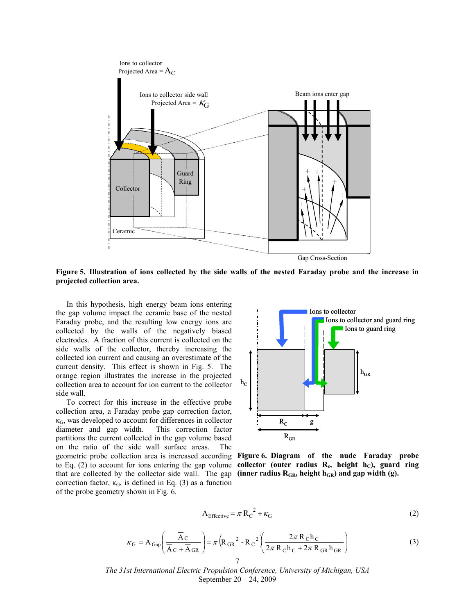

**Figure 5. Illustration of ions collected by the side walls of the nested Faraday probe and the increase in projected collection area.** 

In this hypothesis, high energy beam ions entering the gap volume impact the ceramic base of the nested Faraday probe, and the resulting low energy ions are collected by the walls of the negatively biased electrodes. A fraction of this current is collected on the side walls of the collector, thereby increasing the collected ion current and causing an overestimate of the current density. This effect is shown in Fig. 5. The orange region illustrates the increase in the projected collection area to account for ion current to the collector side wall.

To correct for this increase in the effective probe collection area, a Faraday probe gap correction factor,  $\kappa$ <sub>G</sub>, was developed to account for differences in collector diameter and gap width. This correction factor partitions the current collected in the gap volume based on the ratio of the side wall surface areas. The geometric probe collection area is increased according **Figure 6. Diagram of the nude Faraday probe**  that are collected by the collector side wall. The gap correction factor,  $\kappa_G$ , is defined in Eq. (3) as a function of the probe geometry shown in Fig. 6.



to Eq.  $(2)$  to account for ions entering the gap volume **collector** (outer radius  $R_c$ , height  $h_c$ ), guard ring (inner radius  $R_{GR}$ , height  $h_{GR}$ ) and gap width (g).

$$
A_{\text{Effective}} = \pi R_C^2 + \kappa_G \tag{2}
$$

$$
\kappa_{\rm G} = A_{\rm Gap} \left( \frac{\overline{A}_{\rm C}}{\overline{A}_{\rm C} + \overline{A}_{\rm GR}} \right) = \pi \left( R_{\rm GR}^2 - R_{\rm C}^2 \left( \frac{2\pi R_{\rm C} h_{\rm C}}{2\pi R_{\rm C} h_{\rm C} + 2\pi R_{\rm GR} h_{\rm GR}} \right) \tag{3}
$$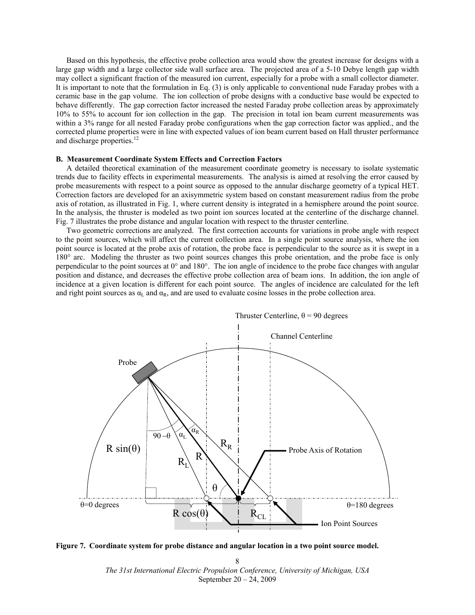Based on this hypothesis, the effective probe collection area would show the greatest increase for designs with a large gap width and a large collector side wall surface area. The projected area of a 5-10 Debye length gap width may collect a significant fraction of the measured ion current, especially for a probe with a small collector diameter. It is important to note that the formulation in Eq. (3) is only applicable to conventional nude Faraday probes with a ceramic base in the gap volume. The ion collection of probe designs with a conductive base would be expected to behave differently. The gap correction factor increased the nested Faraday probe collection areas by approximately 10% to 55% to account for ion collection in the gap. The precision in total ion beam current measurements was within a 3% range for all nested Faraday probe configurations when the gap correction factor was applied., and the corrected plume properties were in line with expected values of ion beam current based on Hall thruster performance and discharge properties.<sup>12</sup>

#### **B. Measurement Coordinate System Effects and Correction Factors**

A detailed theoretical examination of the measurement coordinate geometry is necessary to isolate systematic trends due to facility effects in experimental measurements. The analysis is aimed at resolving the error caused by probe measurements with respect to a point source as opposed to the annular discharge geometry of a typical HET. Correction factors are developed for an axisymmetric system based on constant measurement radius from the probe axis of rotation, as illustrated in Fig. 1, where current density is integrated in a hemisphere around the point source. In the analysis, the thruster is modeled as two point ion sources located at the centerline of the discharge channel. Fig. 7 illustrates the probe distance and angular location with respect to the thruster centerline.

Two geometric corrections are analyzed. The first correction accounts for variations in probe angle with respect to the point sources, which will affect the current collection area. In a single point source analysis, where the ion point source is located at the probe axis of rotation, the probe face is perpendicular to the source as it is swept in a 180° arc. Modeling the thruster as two point sources changes this probe orientation, and the probe face is only perpendicular to the point sources at 0° and 180°. The ion angle of incidence to the probe face changes with angular position and distance, and decreases the effective probe collection area of beam ions. In addition, the ion angle of incidence at a given location is different for each point source. The angles of incidence are calculated for the left and right point sources as  $\alpha_L$  and  $\alpha_R$ , and are used to evaluate cosine losses in the probe collection area.



**Figure 7. Coordinate system for probe distance and angular location in a two point source model.** 

*The 31st International Electric Propulsion Conference, University of Michigan, USA*  September 20 – 24, 2009 8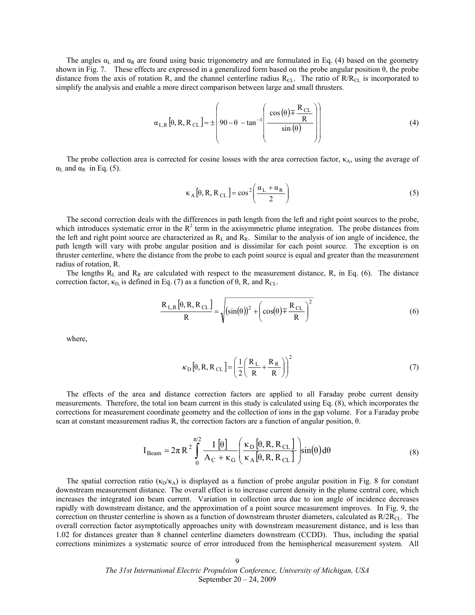The angles  $\alpha_L$  and  $\alpha_R$  are found using basic trigonometry and are formulated in Eq. (4) based on the geometry shown in Fig. 7. These effects are expressed in a generalized form based on the probe angular position θ, the probe distance from the axis of rotation R, and the channel centerline radius  $R_{CL}$ . The ratio of  $R/R_{CL}$  is incorporated to simplify the analysis and enable a more direct comparison between large and small thrusters.

$$
\alpha_{L,R}[\theta, R, R_{CL}] = \pm \left(90 - \theta - \tan^{-1} \left(\frac{\cos(\theta) \mp \frac{R_{CL}}{R}}{\sin(\theta)}\right)\right)
$$
(4)

The probe collection area is corrected for cosine losses with the area correction factor,  $\kappa_A$ , using the average of  $\alpha_L$  and  $\alpha_R$  in Eq. (5).

$$
\kappa_A [\theta, R, R_{CL}] = \cos^2 \left( \frac{\alpha_L + \alpha_R}{2} \right)
$$
 (5)

The second correction deals with the differences in path length from the left and right point sources to the probe, which introduces systematic error in the  $R<sup>2</sup>$  term in the axisymmetric plume integration. The probe distances from the left and right point source are characterized as  $R_L$  and  $R_R$ . Similar to the analysis of ion angle of incidence, the path length will vary with probe angular position and is dissimilar for each point source. The exception is on thruster centerline, where the distance from the probe to each point source is equal and greater than the measurement radius of rotation, R.

The lengths  $R_L$  and  $R_R$  are calculated with respect to the measurement distance, R, in Eq. (6). The distance correction factor,  $\kappa_D$  is defined in Eq. (7) as a function of  $\theta$ , R, and R<sub>CL</sub>.

$$
\frac{R_{L,R}[\theta, R, R_{CL}]}{R} = \sqrt{(\sin(\theta))^2 + (\cos(\theta) \mp \frac{R_{CL}}{R})^2}
$$
(6)

where,

$$
\kappa_{\rm D} \left[ \theta, R, R_{\rm CL} \right] = \left( \frac{1}{2} \left( \frac{R_{\rm L}}{R} + \frac{R_{\rm R}}{R} \right) \right)^2 \tag{7}
$$

The effects of the area and distance correction factors are applied to all Faraday probe current density measurements. Therefore, the total ion beam current in this study is calculated using Eq. (8), which incorporates the corrections for measurement coordinate geometry and the collection of ions in the gap volume. For a Faraday probe scan at constant measurement radius R, the correction factors are a function of angular position, θ.

$$
I_{\text{Beam}} = 2\pi R^2 \int_{0}^{\pi/2} \frac{I[\theta]}{A_C + \kappa_G} \left( \frac{\kappa_D[\theta, R, R_{CL}]}{\kappa_A[\theta, R, R_{CL}]} \right) \sin(\theta) d\theta \tag{8}
$$

The spatial correction ratio ( $\kappa_D/\kappa_A$ ) is displayed as a function of probe angular position in Fig. 8 for constant downstream measurement distance. The overall effect is to increase current density in the plume central core, which increases the integrated ion beam current. Variation in collection area due to ion angle of incidence decreases rapidly with downstream distance, and the approximation of a point source measurement improves. In Fig. 9, the correction on thruster centerline is shown as a function of downstream thruster diameters, calculated as  $R/2R_{CL}$ . The overall correction factor asymptotically approaches unity with downstream measurement distance, and is less than 1.02 for distances greater than 8 channel centerline diameters downstream (CCDD). Thus, including the spatial corrections minimizes a systematic source of error introduced from the hemispherical measurement system. All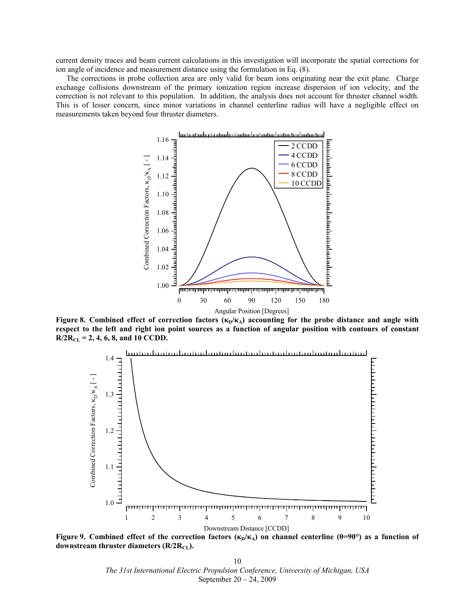current density traces and beam current calculations in this investigation will incorporate the spatial corrections for ion angle of incidence and measurement distance using the formulation in Eq. (8).

The corrections in probe collection area are only valid for beam ions originating near the exit plane. Charge exchange collisions downstream of the primary ionization region increase dispersion of ion velocity, and the correction is not relevant to this population. In addition, the analysis does not account for thruster channel width. This is of lesser concern, since minor variations in channel centerline radius will have a negligible effect on measurements taken beyond four thruster diameters.



**Figure 8. Combined effect of correction factors (** $\kappa$ **<sub>D</sub>/** $\kappa$ **<sub>A</sub>) accounting for the probe distance and angle with respect to the left and right ion point sources as a function of angular position with contours of constant**  $R/2R<sub>CL</sub> = 2, 4, 6, 8, and 10 CCDD.$ 



**Figure 9.** Combined effect of the correction factors ( $\kappa$ <sub>D</sub>/ $\kappa$ <sub>A</sub>) on channel centerline (θ=90°) as a function of downstream thruster diameters (R/2R<sub>CL</sub>).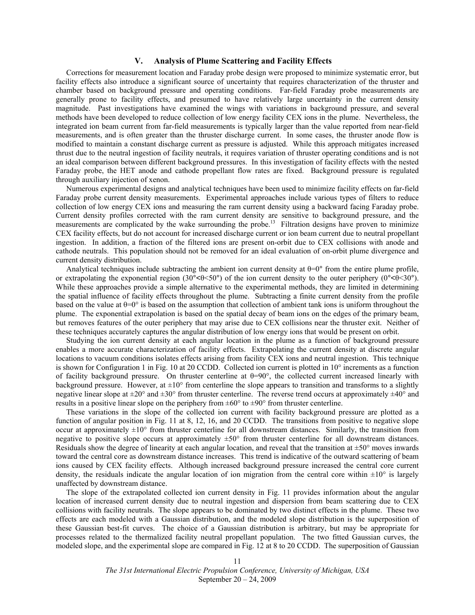## **V. Analysis of Plume Scattering and Facility Effects**

Corrections for measurement location and Faraday probe design were proposed to minimize systematic error, but facility effects also introduce a significant source of uncertainty that requires characterization of the thruster and chamber based on background pressure and operating conditions. Far-field Faraday probe measurements are generally prone to facility effects, and presumed to have relatively large uncertainty in the current density magnitude. Past investigations have examined the wings with variations in background pressure, and several methods have been developed to reduce collection of low energy facility CEX ions in the plume. Nevertheless, the integrated ion beam current from far-field measurements is typically larger than the value reported from near-field measurements, and is often greater than the thruster discharge current. In some cases, the thruster anode flow is modified to maintain a constant discharge current as pressure is adjusted. While this approach mitigates increased thrust due to the neutral ingestion of facility neutrals, it requires variation of thruster operating conditions and is not an ideal comparison between different background pressures. In this investigation of facility effects with the nested Faraday probe, the HET anode and cathode propellant flow rates are fixed. Background pressure is regulated through auxiliary injection of xenon.

Numerous experimental designs and analytical techniques have been used to minimize facility effects on far-field Faraday probe current density measurements. Experimental approaches include various types of filters to reduce collection of low energy CEX ions and measuring the ram current density using a backward facing Faraday probe. Current density profiles corrected with the ram current density are sensitive to background pressure, and the measurements are complicated by the wake surrounding the probe.<sup>13</sup> Filtration designs have proven to minimize CEX facility effects, but do not account for increased discharge current or ion beam current due to neutral propellant ingestion. In addition, a fraction of the filtered ions are present on-orbit due to CEX collisions with anode and cathode neutrals. This population should not be removed for an ideal evaluation of on-orbit plume divergence and current density distribution.

Analytical techniques include subtracting the ambient ion current density at  $\theta=0^{\circ}$  from the entire plume profile, or extrapolating the exponential region (30°<br/> $\epsilon$ +(30°) of the ion current density to the outer periphery (0°<br/> $\epsilon$ +(30°). While these approaches provide a simple alternative to the experimental methods, they are limited in determining the spatial influence of facility effects throughout the plume. Subtracting a finite current density from the profile based on the value at  $\theta=0^{\circ}$  is based on the assumption that collection of ambient tank ions is uniform throughout the plume. The exponential extrapolation is based on the spatial decay of beam ions on the edges of the primary beam, but removes features of the outer periphery that may arise due to CEX collisions near the thruster exit. Neither of these techniques accurately captures the angular distribution of low energy ions that would be present on orbit.

Studying the ion current density at each angular location in the plume as a function of background pressure enables a more accurate characterization of facility effects. Extrapolating the current density at discrete angular locations to vacuum conditions isolates effects arising from facility CEX ions and neutral ingestion. This technique is shown for Configuration 1 in Fig. 10 at 20 CCDD. Collected ion current is plotted in 10° increments as a function of facility background pressure. On thruster centerline at  $\theta=90^\circ$ , the collected current increased linearly with background pressure. However, at  $\pm 10^{\circ}$  from centerline the slope appears to transition and transforms to a slightly negative linear slope at  $\pm 20^{\circ}$  and  $\pm 30^{\circ}$  from thruster centerline. The reverse trend occurs at approximately  $\pm 40^{\circ}$  and results in a positive linear slope on the periphery from  $\pm 60^{\circ}$  to  $\pm 90^{\circ}$  from thruster centerline.

These variations in the slope of the collected ion current with facility background pressure are plotted as a function of angular position in Fig. 11 at 8, 12, 16, and 20 CCDD. The transitions from positive to negative slope occur at approximately  $\pm 10^{\circ}$  from thruster centerline for all downstream distances. Similarly, the transition from negative to positive slope occurs at approximately  $\pm 50^{\circ}$  from thruster centerline for all downstream distances. Residuals show the degree of linearity at each angular location, and reveal that the transition at  $\pm 50^\circ$  moves inwards toward the central core as downstream distance increases. This trend is indicative of the outward scattering of beam ions caused by CEX facility effects. Although increased background pressure increased the central core current density, the residuals indicate the angular location of ion migration from the central core within  $\pm 10^\circ$  is largely unaffected by downstream distance.

The slope of the extrapolated collected ion current density in Fig. 11 provides information about the angular location of increased current density due to neutral ingestion and dispersion from beam scattering due to CEX collisions with facility neutrals. The slope appears to be dominated by two distinct effects in the plume. These two effects are each modeled with a Gaussian distribution, and the modeled slope distribution is the superposition of these Gaussian best-fit curves. The choice of a Gaussian distribution is arbitrary, but may be appropriate for processes related to the thermalized facility neutral propellant population. The two fitted Gaussian curves, the modeled slope, and the experimental slope are compared in Fig. 12 at 8 to 20 CCDD. The superposition of Gaussian

> *The 31st International Electric Propulsion Conference, University of Michigan, USA*  September 20 – 24, 2009

11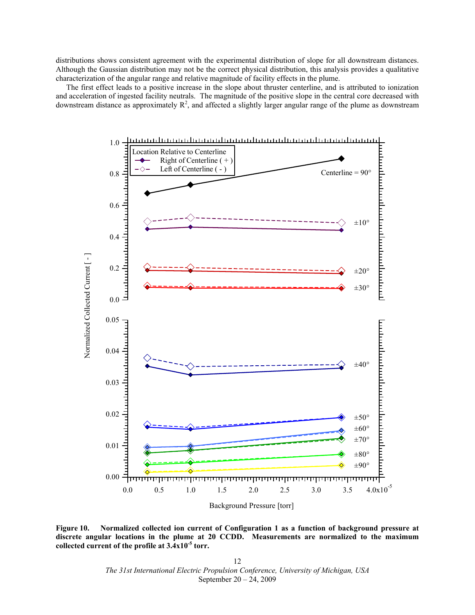distributions shows consistent agreement with the experimental distribution of slope for all downstream distances. Although the Gaussian distribution may not be the correct physical distribution, this analysis provides a qualitative characterization of the angular range and relative magnitude of facility effects in the plume.

The first effect leads to a positive increase in the slope about thruster centerline, and is attributed to ionization and acceleration of ingested facility neutrals. The magnitude of the positive slope in the central core decreased with downstream distance as approximately  $R^2$ , and affected a slightly larger angular range of the plume as downstream



**Figure 10. Normalized collected ion current of Configuration 1 as a function of background pressure at discrete angular locations in the plume at 20 CCDD. Measurements are normalized to the maximum collected current of the profile at 3.4x10-5 torr.**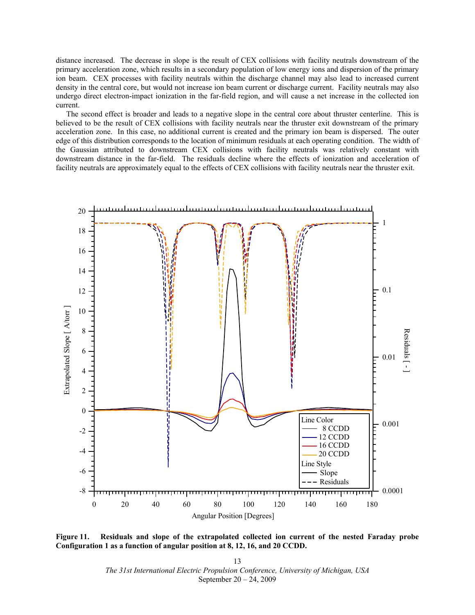distance increased. The decrease in slope is the result of CEX collisions with facility neutrals downstream of the primary acceleration zone, which results in a secondary population of low energy ions and dispersion of the primary ion beam. CEX processes with facility neutrals within the discharge channel may also lead to increased current density in the central core, but would not increase ion beam current or discharge current. Facility neutrals may also undergo direct electron-impact ionization in the far-field region, and will cause a net increase in the collected ion current.

The second effect is broader and leads to a negative slope in the central core about thruster centerline. This is believed to be the result of CEX collisions with facility neutrals near the thruster exit downstream of the primary acceleration zone. In this case, no additional current is created and the primary ion beam is dispersed. The outer edge of this distribution corresponds to the location of minimum residuals at each operating condition. The width of the Gaussian attributed to downstream CEX collisions with facility neutrals was relatively constant with downstream distance in the far-field. The residuals decline where the effects of ionization and acceleration of facility neutrals are approximately equal to the effects of CEX collisions with facility neutrals near the thruster exit.



**Figure 11. Residuals and slope of the extrapolated collected ion current of the nested Faraday probe Configuration 1 as a function of angular position at 8, 12, 16, and 20 CCDD.**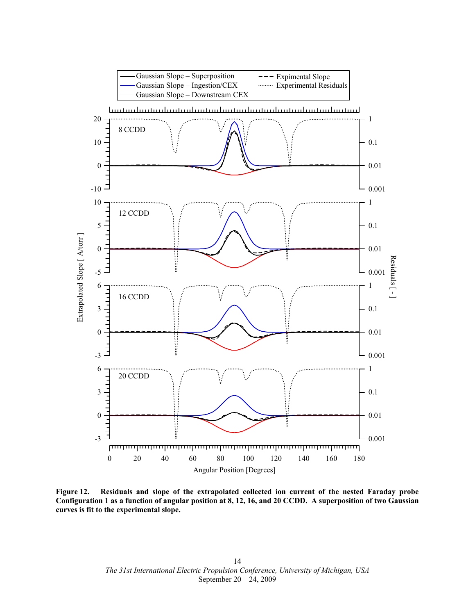

**Figure 12. Residuals and slope of the extrapolated collected ion current of the nested Faraday probe Configuration 1 as a function of angular position at 8, 12, 16, and 20 CCDD. A superposition of two Gaussian curves is fit to the experimental slope.**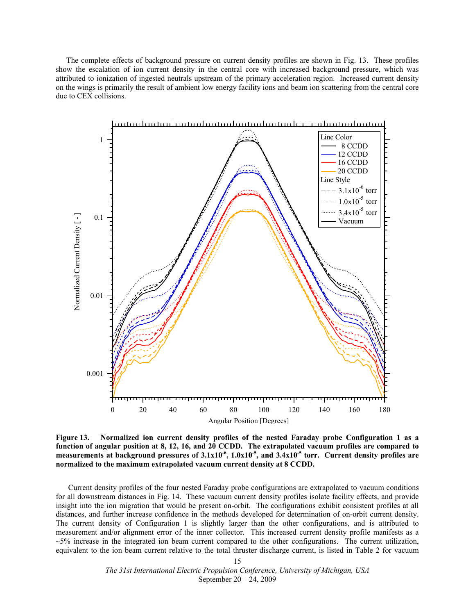The complete effects of background pressure on current density profiles are shown in Fig. 13. These profiles show the escalation of ion current density in the central core with increased background pressure, which was attributed to ionization of ingested neutrals upstream of the primary acceleration region. Increased current density on the wings is primarily the result of ambient low energy facility ions and beam ion scattering from the central core due to CEX collisions.



**Figure 13. Normalized ion current density profiles of the nested Faraday probe Configuration 1 as a function of angular position at 8, 12, 16, and 20 CCDD. The extrapolated vacuum profiles are compared to measurements at background pressures of 3.1x10-6, 1.0x10-5, and 3.4x10-5 torr. Current density profiles are normalized to the maximum extrapolated vacuum current density at 8 CCDD.** 

 Current density profiles of the four nested Faraday probe configurations are extrapolated to vacuum conditions for all downstream distances in Fig. 14. These vacuum current density profiles isolate facility effects, and provide insight into the ion migration that would be present on-orbit. The configurations exhibit consistent profiles at all distances, and further increase confidence in the methods developed for determination of on-orbit current density. The current density of Configuration 1 is slightly larger than the other configurations, and is attributed to measurement and/or alignment error of the inner collector. This increased current density profile manifests as a  $~5\%$  increase in the integrated ion beam current compared to the other configurations. The current utilization, equivalent to the ion beam current relative to the total thruster discharge current, is listed in Table 2 for vacuum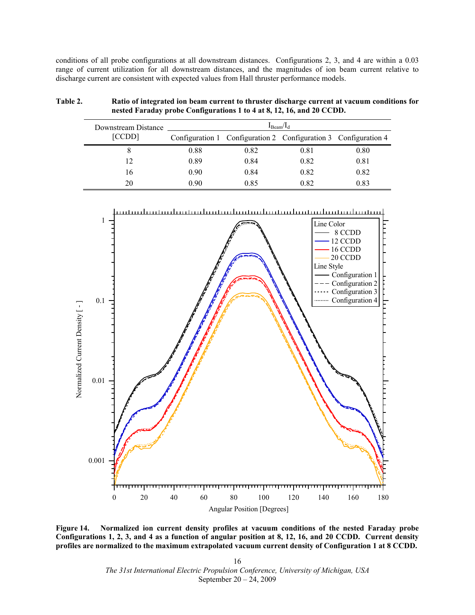conditions of all probe configurations at all downstream distances. Configurations 2, 3, and 4 are within a 0.03 range of current utilization for all downstream distances, and the magnitudes of ion beam current relative to discharge current are consistent with expected values from Hall thruster performance models.

| Table 2. | Ratio of integrated ion beam current to thruster discharge current at vacuum conditions for |
|----------|---------------------------------------------------------------------------------------------|
|          | nested Faraday probe Configurations 1 to 4 at 8, 12, 16, and 20 CCDD.                       |

| Downstream Distance | $I_{\text{Beam}}/I_{\text{d}}$ |                                                                 |      |      |  |
|---------------------|--------------------------------|-----------------------------------------------------------------|------|------|--|
| [CCDD]              |                                | Configuration 1 Configuration 2 Configuration 3 Configuration 4 |      |      |  |
|                     | 0.88                           | 0.82                                                            | 0.81 | 0.80 |  |
| 12                  | 0.89                           | 0.84                                                            | 0.82 | 0.81 |  |
| 16                  | 0.90                           | 0.84                                                            | 0.82 | 0.82 |  |
| 20                  | 0.90                           | 0.85                                                            | 0.82 | 0.83 |  |



**Figure 14. Normalized ion current density profiles at vacuum conditions of the nested Faraday probe Configurations 1, 2, 3, and 4 as a function of angular position at 8, 12, 16, and 20 CCDD. Current density profiles are normalized to the maximum extrapolated vacuum current density of Configuration 1 at 8 CCDD.**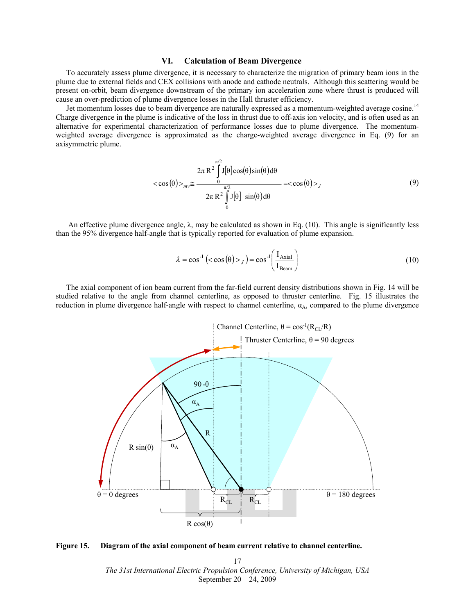### **VI. Calculation of Beam Divergence**

To accurately assess plume divergence, it is necessary to characterize the migration of primary beam ions in the plume due to external fields and CEX collisions with anode and cathode neutrals. Although this scattering would be present on-orbit, beam divergence downstream of the primary ion acceleration zone where thrust is produced will cause an over-prediction of plume divergence losses in the Hall thruster efficiency.

Jet momentum losses due to beam divergence are naturally expressed as a momentum-weighted average cosine.<sup>14</sup> Charge divergence in the plume is indicative of the loss in thrust due to off-axis ion velocity, and is often used as an alternative for experimental characterization of performance losses due to plume divergence. The momentumweighted average divergence is approximated as the charge-weighted average divergence in Eq. (9) for an axisymmetric plume.

$$
\langle \cos(\theta) \rangle_{mv} \approx \frac{2\pi \mathrm{R}^2 \int_0^{\pi/2} J[\theta] \cos(\theta) \sin(\theta) d\theta}{2\pi \mathrm{R}^2 \int_0^{\pi/2} J[\theta] \sin(\theta) d\theta} = \langle \cos(\theta) \rangle_J
$$
(9)

An effective plume divergence angle,  $\lambda$ , may be calculated as shown in Eq. (10). This angle is significantly less than the 95% divergence half-angle that is typically reported for evaluation of plume expansion.

$$
\lambda = \cos^{-1} (\cos(\theta) > J) = \cos^{-1} \left( \frac{I_{\text{Axial}}}{I_{\text{Beam}}} \right)
$$
 (10)

The axial component of ion beam current from the far-field current density distributions shown in Fig. 14 will be studied relative to the angle from channel centerline, as opposed to thruster centerline. Fig. 15 illustrates the reduction in plume divergence half-angle with respect to channel centerline,  $\alpha_A$ , compared to the plume divergence



**Figure 15. Diagram of the axial component of beam current relative to channel centerline.**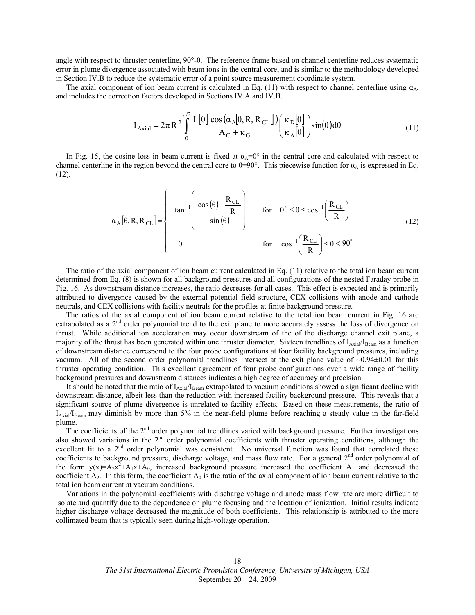angle with respect to thruster centerline, 90°-θ. The reference frame based on channel centerline reduces systematic error in plume divergence associated with beam ions in the central core, and is similar to the methodology developed in Section IV.B to reduce the systematic error of a point source measurement coordinate system.

The axial component of ion beam current is calculated in Eq. (11) with respect to channel centerline using  $\alpha_A$ , and includes the correction factors developed in Sections IV.A and IV.B.

$$
I_{\text{Axial}} = 2\pi R^2 \int_{0}^{\pi/2} \frac{I[\theta] \cos(\alpha_A[\theta, R, R_{CL}])}{A_C + \kappa_G} \left(\frac{\kappa_D[\theta]}{\kappa_A[\theta]}\right) \sin(\theta) d\theta \tag{11}
$$

In Fig. 15, the cosine loss in beam current is fixed at  $\alpha_A=0^\circ$  in the central core and calculated with respect to channel centerline in the region beyond the central core to  $\theta=90^\circ$ . This piecewise function for  $\alpha_A$  is expressed in Eq. (12).

$$
\alpha_{A}[\theta, R, R_{CL}] = \begin{cases}\n\tan^{-1}\left(\frac{\cos(\theta) - R_{CL}}{R}\right) & \text{for } 0^{\circ} \le \theta \le \cos^{-1}\left(\frac{R_{CL}}{R}\right) \\
0 & \text{for } \cos^{-1}\left(\frac{R_{CL}}{R}\right) \le \theta \le 90^{\circ}\n\end{cases}
$$
\n(12)

The ratio of the axial component of ion beam current calculated in Eq. (11) relative to the total ion beam current determined from Eq. (8) is shown for all background pressures and all configurations of the nested Faraday probe in Fig. 16. As downstream distance increases, the ratio decreases for all cases. This effect is expected and is primarily attributed to divergence caused by the external potential field structure, CEX collisions with anode and cathode neutrals, and CEX collisions with facility neutrals for the profiles at finite background pressure.

The ratios of the axial component of ion beam current relative to the total ion beam current in Fig. 16 are extrapolated as a 2<sup>nd</sup> order polynomial trend to the exit plane to more accurately assess the loss of divergence on thrust. While additional ion acceleration may occur downstream of the of the discharge channel exit plane, a majority of the thrust has been generated within one thruster diameter. Sixteen trendlines of  $I_{\text{Axial}}/I_{\text{Beam}}$  as a function of downstream distance correspond to the four probe configurations at four facility background pressures, including vacuum. All of the second order polynomial trendlines intersect at the exit plane value of  $\sim 0.94 \pm 0.01$  for this thruster operating condition. This excellent agreement of four probe configurations over a wide range of facility background pressures and downstream distances indicates a high degree of accuracy and precision.

It should be noted that the ratio of  $I_{\text{Axial}}/I_{\text{Beam}}$  extrapolated to vacuum conditions showed a significant decline with downstream distance, albeit less than the reduction with increased facility background pressure. This reveals that a significant source of plume divergence is unrelated to facility effects. Based on these measurements, the ratio of  $I_{Axial}/I_{Beam}$  may diminish by more than 5% in the near-field plume before reaching a steady value in the far-field plume.

The coefficients of the  $2<sup>nd</sup>$  order polynomial trendlines varied with background pressure. Further investigations also showed variations in the  $2<sup>nd</sup>$  order polynomial coefficients with thruster operating conditions, although the excellent fit to a 2<sup>nd</sup> order polynomial was consistent. No universal function was found that correlated these coefficients to background pressure, discharge voltage, and mass flow rate. For a general 2<sup>nd</sup> order polynomial of the form  $y(x)=A_2x^2+A_1x+A_0$ , increased background pressure increased the coefficient  $A_1$  and decreased the coefficient  $A_2$ . In this form, the coefficient  $A_0$  is the ratio of the axial component of ion beam current relative to the total ion beam current at vacuum conditions.

Variations in the polynomial coefficients with discharge voltage and anode mass flow rate are more difficult to isolate and quantify due to the dependence on plume focusing and the location of ionization. Initial results indicate higher discharge voltage decreased the magnitude of both coefficients. This relationship is attributed to the more collimated beam that is typically seen during high-voltage operation.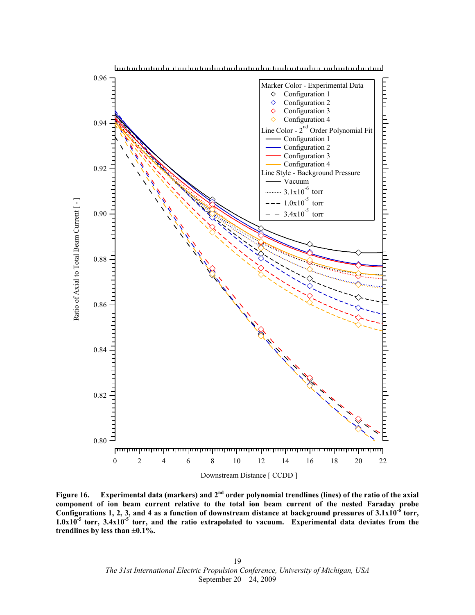

**Figure 16. Experimental data (markers) and 2nd order polynomial trendlines (lines) of the ratio of the axial component of ion beam current relative to the total ion beam current of the nested Faraday probe** Configurations 1, 2, 3, and 4 as a function of downstream distance at background pressures of 3.1x10<sup>-6</sup> torr, **1.0x10-5 torr, 3.4x10-5 torr, and the ratio extrapolated to vacuum. Experimental data deviates from the trendlines by less than ±0.1%.**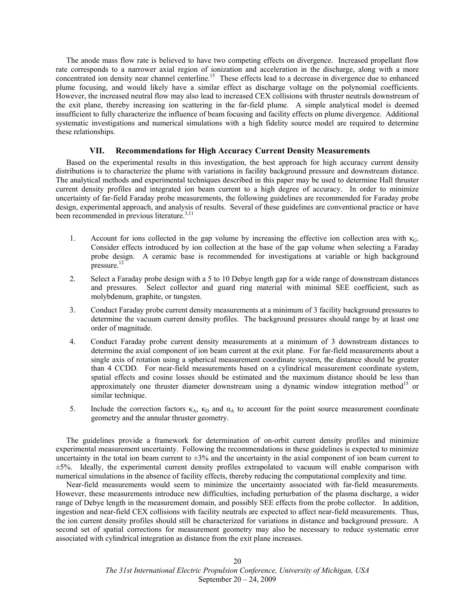The anode mass flow rate is believed to have two competing effects on divergence. Increased propellant flow rate corresponds to a narrower axial region of ionization and acceleration in the discharge, along with a more concentrated ion density near channel centerline.<sup>15</sup> These effects lead to a decrease in divergence due to enhanced plume focusing, and would likely have a similar effect as discharge voltage on the polynomial coefficients. However, the increased neutral flow may also lead to increased CEX collisions with thruster neutrals downstream of the exit plane, thereby increasing ion scattering in the far-field plume. A simple analytical model is deemed insufficient to fully characterize the influence of beam focusing and facility effects on plume divergence. Additional systematic investigations and numerical simulations with a high fidelity source model are required to determine these relationships.

## **VII. Recommendations for High Accuracy Current Density Measurements**

Based on the experimental results in this investigation, the best approach for high accuracy current density distributions is to characterize the plume with variations in facility background pressure and downstream distance. The analytical methods and experimental techniques described in this paper may be used to determine Hall thruster current density profiles and integrated ion beam current to a high degree of accuracy. In order to minimize uncertainty of far-field Faraday probe measurements, the following guidelines are recommended for Faraday probe design, experimental approach, and analysis of results. Several of these guidelines are conventional practice or have been recommended in previous literature.<sup>3,11</sup>

- 1. Account for ions collected in the gap volume by increasing the effective ion collection area with  $\kappa_{\text{G}}$ . Consider effects introduced by ion collection at the base of the gap volume when selecting a Faraday probe design. A ceramic base is recommended for investigations at variable or high background pressure.<sup>12</sup>
- 2. Select a Faraday probe design with a 5 to 10 Debye length gap for a wide range of downstream distances and pressures. Select collector and guard ring material with minimal SEE coefficient, such as molybdenum, graphite, or tungsten.
- 3. Conduct Faraday probe current density measurements at a minimum of 3 facility background pressures to determine the vacuum current density profiles. The background pressures should range by at least one order of magnitude.
- 4. Conduct Faraday probe current density measurements at a minimum of 3 downstream distances to determine the axial component of ion beam current at the exit plane. For far-field measurements about a single axis of rotation using a spherical measurement coordinate system, the distance should be greater than 4 CCDD. For near-field measurements based on a cylindrical measurement coordinate system, spatial effects and cosine losses should be estimated and the maximum distance should be less than approximately one thruster diameter downstream using a dynamic window integration method<sup>15</sup> or similar technique.
- 5. Include the correction factors  $\kappa_{A}$ ,  $\kappa_{D}$  and  $\alpha_{A}$  to account for the point source measurement coordinate geometry and the annular thruster geometry.

The guidelines provide a framework for determination of on-orbit current density profiles and minimize experimental measurement uncertainty. Following the recommendations in these guidelines is expected to minimize uncertainty in the total ion beam current to  $\pm 3\%$  and the uncertainty in the axial component of ion beam current to  $\pm$ 5%. Ideally, the experimental current density profiles extrapolated to vacuum will enable comparison with numerical simulations in the absence of facility effects, thereby reducing the computational complexity and time.

Near-field measurements would seem to minimize the uncertainty associated with far-field measurements. However, these measurements introduce new difficulties, including perturbation of the plasma discharge, a wider range of Debye length in the measurement domain, and possibly SEE effects from the probe collector. In addition, ingestion and near-field CEX collisions with facility neutrals are expected to affect near-field measurements. Thus, the ion current density profiles should still be characterized for variations in distance and background pressure. A second set of spatial corrections for measurement geometry may also be necessary to reduce systematic error associated with cylindrical integration as distance from the exit plane increases.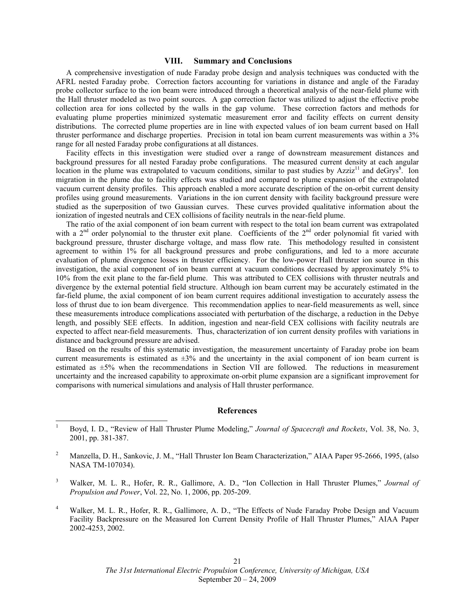## **VIII. Summary and Conclusions**

A comprehensive investigation of nude Faraday probe design and analysis techniques was conducted with the AFRL nested Faraday probe. Correction factors accounting for variations in distance and angle of the Faraday probe collector surface to the ion beam were introduced through a theoretical analysis of the near-field plume with the Hall thruster modeled as two point sources. A gap correction factor was utilized to adjust the effective probe collection area for ions collected by the walls in the gap volume. These correction factors and methods for evaluating plume properties minimized systematic measurement error and facility effects on current density distributions. The corrected plume properties are in line with expected values of ion beam current based on Hall thruster performance and discharge properties. Precision in total ion beam current measurements was within a 3% range for all nested Faraday probe configurations at all distances.

Facility effects in this investigation were studied over a range of downstream measurement distances and background pressures for all nested Faraday probe configurations. The measured current density at each angular location in the plume was extrapolated to vacuum conditions, similar to past studies by Azziz<sup>11</sup> and deGrys<sup>8</sup>. Ion migration in the plume due to facility effects was studied and compared to plume expansion of the extrapolated vacuum current density profiles. This approach enabled a more accurate description of the on-orbit current density profiles using ground measurements. Variations in the ion current density with facility background pressure were studied as the superposition of two Gaussian curves. These curves provided qualitative information about the ionization of ingested neutrals and CEX collisions of facility neutrals in the near-field plume.

The ratio of the axial component of ion beam current with respect to the total ion beam current was extrapolated with a  $2<sup>nd</sup>$  order polynomial to the thruster exit plane. Coefficients of the  $2<sup>nd</sup>$  order polynomial fit varied with background pressure, thruster discharge voltage, and mass flow rate. This methodology resulted in consistent agreement to within 1% for all background pressures and probe configurations, and led to a more accurate evaluation of plume divergence losses in thruster efficiency. For the low-power Hall thruster ion source in this investigation, the axial component of ion beam current at vacuum conditions decreased by approximately 5% to 10% from the exit plane to the far-field plume. This was attributed to CEX collisions with thruster neutrals and divergence by the external potential field structure. Although ion beam current may be accurately estimated in the far-field plume, the axial component of ion beam current requires additional investigation to accurately assess the loss of thrust due to ion beam divergence. This recommendation applies to near-field measurements as well, since these measurements introduce complications associated with perturbation of the discharge, a reduction in the Debye length, and possibly SEE effects. In addition, ingestion and near-field CEX collisions with facility neutrals are expected to affect near-field measurements. Thus, characterization of ion current density profiles with variations in distance and background pressure are advised.

Based on the results of this systematic investigation, the measurement uncertainty of Faraday probe ion beam current measurements is estimated as  $\pm 3\%$  and the uncertainty in the axial component of ion beam current is estimated as ±5% when the recommendations in Section VII are followed. The reductions in measurement uncertainty and the increased capability to approximate on-orbit plume expansion are a significant improvement for comparisons with numerical simulations and analysis of Hall thruster performance.

## **References**

 $\overline{a}$ 

- 3 Walker, M. L. R., Hofer, R. R., Gallimore, A. D., "Ion Collection in Hall Thruster Plumes," *Journal of Propulsion and Power*, Vol. 22, No. 1, 2006, pp. 205-209.
- 4 Walker, M. L. R., Hofer, R. R., Gallimore, A. D., "The Effects of Nude Faraday Probe Design and Vacuum Facility Backpressure on the Measured Ion Current Density Profile of Hall Thruster Plumes," AIAA Paper 2002-4253, 2002.

<sup>1</sup> Boyd, I. D., "Review of Hall Thruster Plume Modeling," *Journal of Spacecraft and Rockets*, Vol. 38, No. 3, 2001, pp. 381-387.

<sup>2</sup> Manzella, D. H., Sankovic, J. M., "Hall Thruster Ion Beam Characterization," AIAA Paper 95-2666, 1995, (also NASA TM-107034).